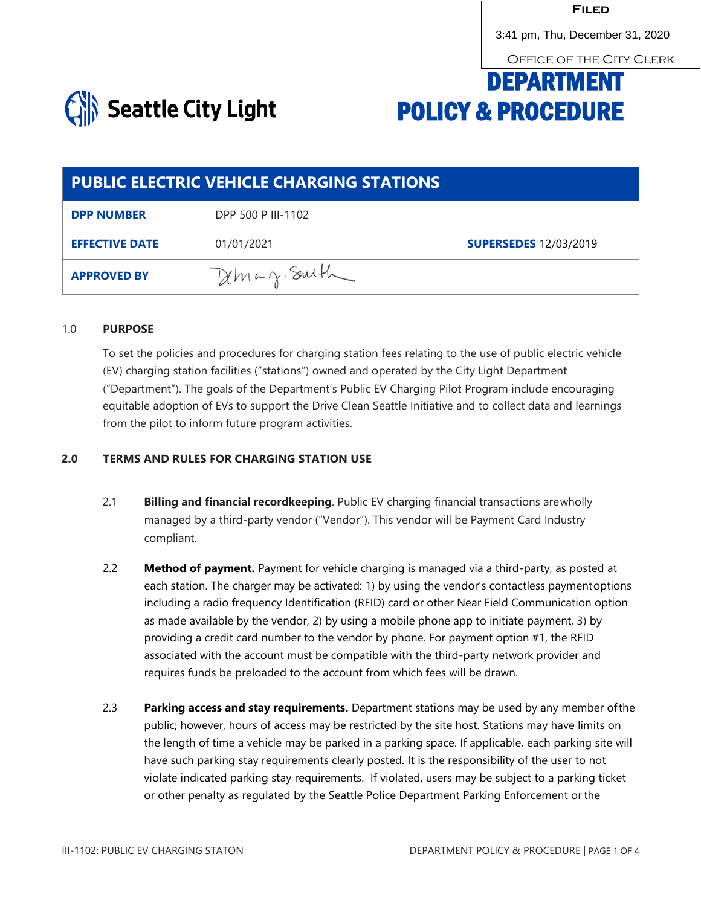3:41 pm, Thu, December 31, 2020<br>OFFICE OF THE CITY CLERK

# DEPARTMENT POLICY & PROCEDURE



| <b>PUBLIC ELECTRIC VEHICLE CHARGING STATIONS</b> |                    |                              |  |
|--------------------------------------------------|--------------------|------------------------------|--|
| <b>DPP NUMBER</b>                                | DPP 500 P III-1102 |                              |  |
| <b>EFFECTIVE DATE</b>                            | 01/01/2021         | <b>SUPERSEDES</b> 12/03/2019 |  |
| <b>APPROVED BY</b>                               | Deman Smith        |                              |  |

#### 1.0 **PURPOSE**

To set the policies and procedures for charging station fees relating to the use of public electric vehicle (EV) charging station facilities ("stations") owned and operated by the City Light Department ("Department"). The goals of the Department's Public EV Charging Pilot Program include encouraging equitable adoption of EVs to support the Drive Clean Seattle Initiative and to collect data and learnings from the pilot to inform future program activities.

## **2.0 TERMS AND RULES FOR CHARGING STATION USE**

- 2.1 **Billing and financial recordkeeping**. Public EV charging financial transactions arewholly managed by a third-party vendor ("Vendor"). This vendor will be Payment Card Industry compliant.
- 2.2 **Method of payment.** Payment for vehicle charging is managed via a third-party, as posted at each station. The charger may be activated: 1) by using the vendor's contactless paymentoptions including a radio frequency Identification (RFID) card or other Near Field Communication option as made available by the vendor, 2) by using a mobile phone app to initiate payment, 3) by providing a credit card number to the vendor by phone. For payment option #1, the RFID associated with the account must be compatible with the third-party network provider and requires funds be preloaded to the account from which fees will be drawn.
- 2.3 **Parking access and stay requirements.** Department stations may be used by any member ofthe public; however, hours of access may be restricted by the site host. Stations may have limits on the length of time a vehicle may be parked in a parking space. If applicable, each parking site will have such parking stay requirements clearly posted. It is the responsibility of the user to not violate indicated parking stay requirements. If violated, users may be subject to a parking ticket or other penalty as regulated by the Seattle Police Department Parking Enforcement or the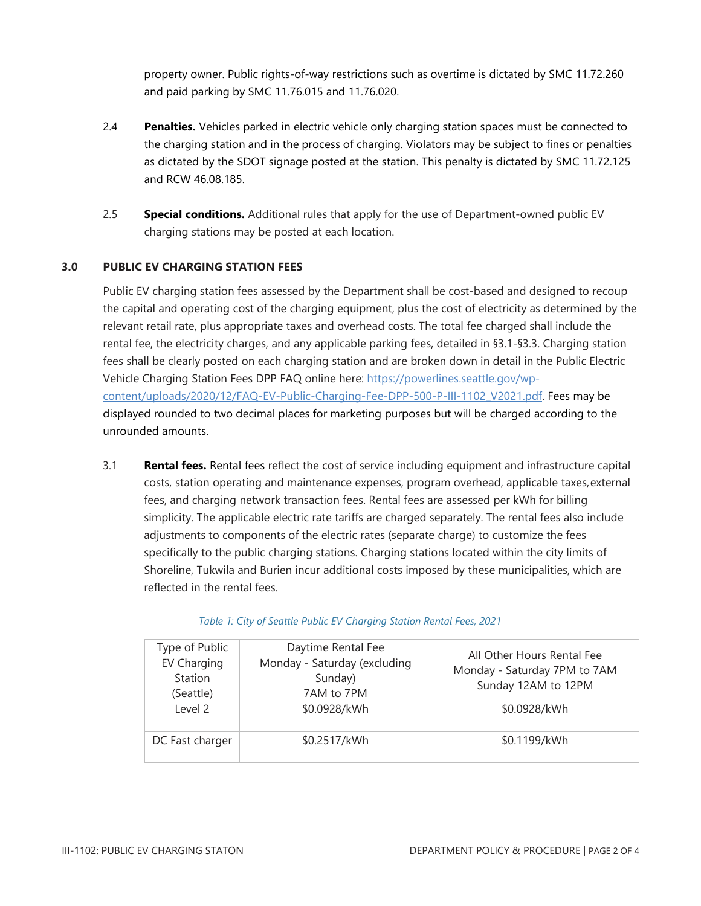property owner. Public rights-of-way restrictions such as overtime is dictated by SMC 11.72.260 and paid parking by SMC 11.76.015 and 11.76.020.

- 2.4 **Penalties.** Vehicles parked in electric vehicle only charging station spaces must be connected to the charging station and in the process of charging. Violators may be subject to fines or penalties as dictated by the SDOT signage posted at the station. This penalty is dictated by SMC 11.72.125 and RCW 46.08.185.
- 2.5 **Special conditions.** Additional rules that apply for the use of Department-owned public EV charging stations may be posted at each location.

# **3.0 PUBLIC EV CHARGING STATION FEES**

Public EV charging station fees assessed by the Department shall be cost-based and designed to recoup the capital and operating cost of the charging equipment, plus the cost of electricity as determined by the relevant retail rate, plus appropriate taxes and overhead costs. The total fee charged shall include the rental fee, the electricity charges, and any applicable parking fees, detailed in §3.1-§3.3. Charging station fees shall be clearly posted on each charging station and are broken down in detail in the Public Electric Vehicle Charging Station Fees DPP FAQ online here: [https://powerlines.seattle.gov/wp](https://powerlines.seattle.gov/wp-content/uploads/2020/12/FAQ-EV-Public-Charging-Fee-DPP-500-P-III-1102_V2021.pdf)[content/uploads/2020/12/FAQ-EV-Public-Charging-Fee-DPP-500-P-III-1102\\_V2021.pdf. F](https://powerlines.seattle.gov/wp-content/uploads/2020/12/FAQ-EV-Public-Charging-Fee-DPP-500-P-III-1102_V2021.pdf)ees may be displayed rounded to two decimal places for marketing purposes but will be charged according to the unrounded amounts.

3.1 **Rental fees.** Rental fees reflect the cost of service including equipment and infrastructure capital costs, station operating and maintenance expenses, program overhead, applicable taxes,external fees, and charging network transaction fees. Rental fees are assessed per kWh for billing simplicity. The applicable electric rate tariffs are charged separately. The rental fees also include adjustments to components of the electric rates (separate charge) to customize the fees specifically to the public charging stations. Charging stations located within the city limits of Shoreline, Tukwila and Burien incur additional costs imposed by these municipalities, which are reflected in the rental fees.

| Type of Public<br><b>EV Charging</b><br>Station<br>(Seattle) | Daytime Rental Fee<br>Monday - Saturday (excluding<br>Sunday)<br>7AM to 7PM | All Other Hours Rental Fee<br>Monday - Saturday 7PM to 7AM<br>Sunday 12AM to 12PM |
|--------------------------------------------------------------|-----------------------------------------------------------------------------|-----------------------------------------------------------------------------------|
| Level 2                                                      | \$0.0928/kWh                                                                | \$0.0928/kWh                                                                      |
| DC Fast charger                                              | \$0.2517/kWh                                                                | \$0.1199/kWh                                                                      |

## *Table 1: City of Seattle Public EV Charging Station Rental Fees, 2021*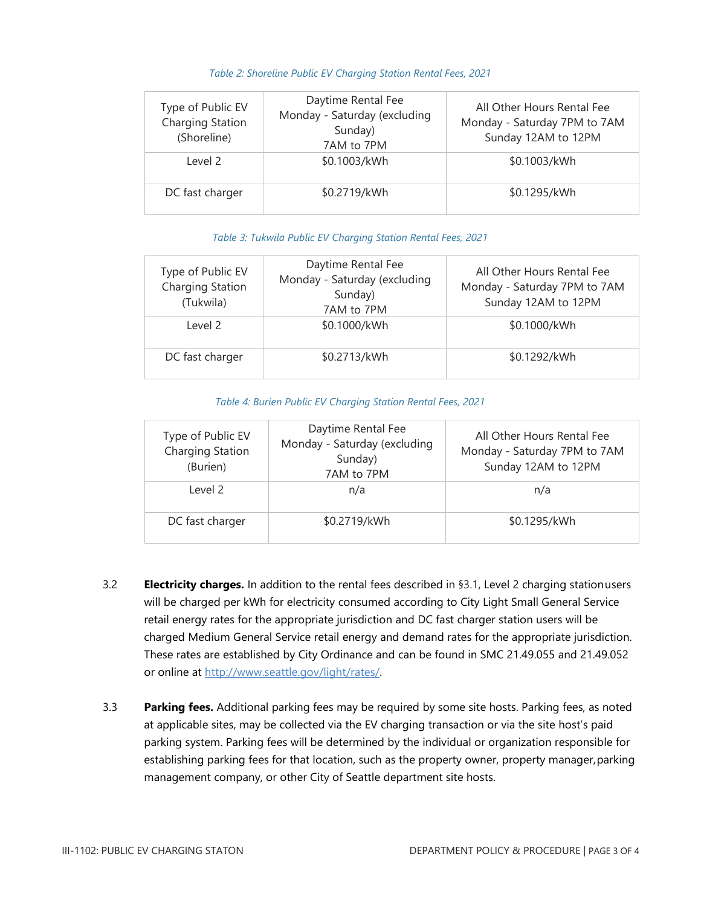| Type of Public EV<br>Charging Station<br>(Shoreline) | Daytime Rental Fee<br>Monday - Saturday (excluding<br>Sunday)<br>7AM to 7PM | All Other Hours Rental Fee<br>Monday - Saturday 7PM to 7AM<br>Sunday 12AM to 12PM |
|------------------------------------------------------|-----------------------------------------------------------------------------|-----------------------------------------------------------------------------------|
| Level 2                                              | \$0.1003/kWh                                                                | \$0.1003/kWh                                                                      |
| DC fast charger                                      | \$0.2719/kWh                                                                | \$0.1295/kWh                                                                      |

#### *Table 2: Shoreline Public EV Charging Station Rental Fees, 2021*

#### *Table 3: Tukwila Public EV Charging Station Rental Fees, 2021*

| Type of Public EV<br>Charging Station<br>(Tukwila) | Daytime Rental Fee<br>Monday - Saturday (excluding<br>Sunday)<br>7AM to 7PM | All Other Hours Rental Fee<br>Monday - Saturday 7PM to 7AM<br>Sunday 12AM to 12PM |
|----------------------------------------------------|-----------------------------------------------------------------------------|-----------------------------------------------------------------------------------|
| Level 2                                            | \$0.1000/kWh                                                                | \$0.1000/kWh                                                                      |
| DC fast charger                                    | \$0.2713/kWh                                                                | \$0.1292/kWh                                                                      |

#### *Table 4: Burien Public EV Charging Station Rental Fees, 2021*

| Type of Public EV<br>Charging Station<br>(Burien) | Daytime Rental Fee<br>Monday - Saturday (excluding<br>Sunday)<br>7AM to 7PM | All Other Hours Rental Fee<br>Monday - Saturday 7PM to 7AM<br>Sunday 12AM to 12PM |
|---------------------------------------------------|-----------------------------------------------------------------------------|-----------------------------------------------------------------------------------|
| Level 2                                           | n/a                                                                         | n/a                                                                               |
| DC fast charger                                   | \$0.2719/kWh                                                                | \$0.1295/kWh                                                                      |

- 3.2 **Electricity charges.** In addition to the rental fees described in §3.1, Level 2 charging stationusers will be charged per kWh for electricity consumed according to City Light Small General Service retail energy rates for the appropriate jurisdiction and DC fast charger station users will be charged Medium General Service retail energy and demand rates for the appropriate jurisdiction. These rates are established by City Ordinance and can be found in SMC 21.49.055 and 21.49.052 or online at [http://www.seattle.gov/light/rates/.](http://www.seattle.gov/light/rates/)
- 3.3 **Parking fees.** Additional parking fees may be required by some site hosts. Parking fees, as noted at applicable sites, may be collected via the EV charging transaction or via the site host's paid parking system. Parking fees will be determined by the individual or organization responsible for establishing parking fees for that location, such as the property owner, property manager, parking management company, or other City of Seattle department site hosts.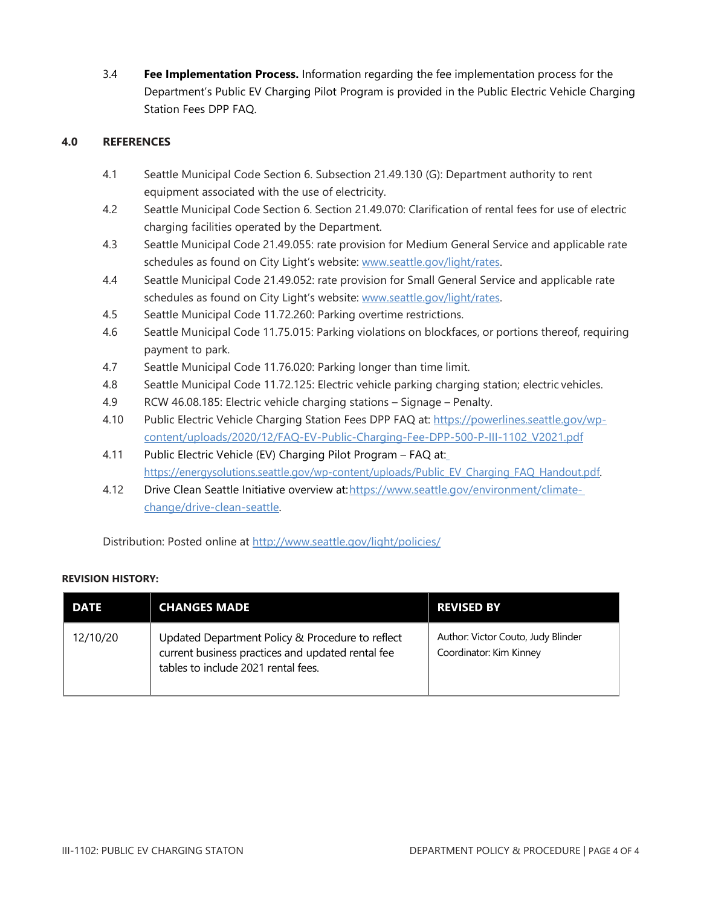3.4 **Fee Implementation Process.** Information regarding the fee implementation process for the Department's Public EV Charging Pilot Program is provided in the Public Electric Vehicle Charging Station Fees DPP FAQ.

# **4.0 REFERENCES**

- 4.1 Seattle Municipal Code Section 6. Subsection 21.49.130 (G): Department authority to rent equipment associated with the use of electricity.
- 4.2 Seattle Municipal Code Section 6. Section 21.49.070: Clarification of rental fees for use of electric charging facilities operated by the Department.
- 4.3 Seattle Municipal Code 21.49.055: rate provision for Medium General Service and applicable rate schedules as found on City Light's website: [www.seattle.gov/light/rates.](http://www.seattle.gov/light/rates)
- 4.4 Seattle Municipal Code 21.49.052: rate provision for Small General Service and applicable rate schedules as found on City Light's website: [www.seattle.gov/light/rates.](http://www.seattle.gov/light/rates)
- 4.5 Seattle Municipal Code 11.72.260: Parking overtime restrictions.
- 4.6 Seattle Municipal Code 11.75.015: Parking violations on blockfaces, or portions thereof, requiring payment to park.
- 4.7 Seattle Municipal Code 11.76.020: Parking longer than time limit.
- 4.8 Seattle Municipal Code 11.72.125: Electric vehicle parking charging station; electric vehicles.
- 4.9 RCW 46.08.185: Electric vehicle charging stations Signage Penalty.
- 4.10 Public Electric Vehicle Charging Station Fees DPP FAQ at: [https://powerlines.seattle.gov/wp](https://powerlines.seattle.gov/wp-content/uploads/2020/12/FAQ-EV-Public-Charging-Fee-DPP-500-P-III-1102_V2021.pdf)[content/uploads/2020/12/FAQ-EV-Public-Charging-Fee-DPP-500-P-III-1102\\_V2021.pdf](https://powerlines.seattle.gov/wp-content/uploads/2020/12/FAQ-EV-Public-Charging-Fee-DPP-500-P-III-1102_V2021.pdf)
- 4.11 Public Electric Vehicle (EV) Charging Pilot Program FAQ at[:](https://energysolutions.seattle.gov/wp-content/uploads/Public_EV_Charging_FAQ_Handout.pdf) [https://energysolutions.seattle.gov/wp-content/uploads/Public\\_EV\\_Charging\\_FAQ\\_Handout.pdf.](https://energysolutions.seattle.gov/wp-content/uploads/Public_EV_Charging_FAQ_Handout.pdf)
- 4.12 Drive Clean Seattle Initiative overview at: https://www.seattle.gov/environment/climate[change/drive-clean-seattle.](https://www.seattle.gov/environment/climate-change/drive-clean-seattle)

Distribution: Posted online at<http://www.seattle.gov/light/policies/>

# **REVISION HISTORY:**

| <b>DATE</b> | <b>CHANGES MADE</b>                                                                                                                          | <b>REVISED BY</b>                                             |
|-------------|----------------------------------------------------------------------------------------------------------------------------------------------|---------------------------------------------------------------|
| 12/10/20    | Updated Department Policy & Procedure to reflect<br>current business practices and updated rental fee<br>tables to include 2021 rental fees. | Author: Victor Couto, Judy Blinder<br>Coordinator: Kim Kinney |